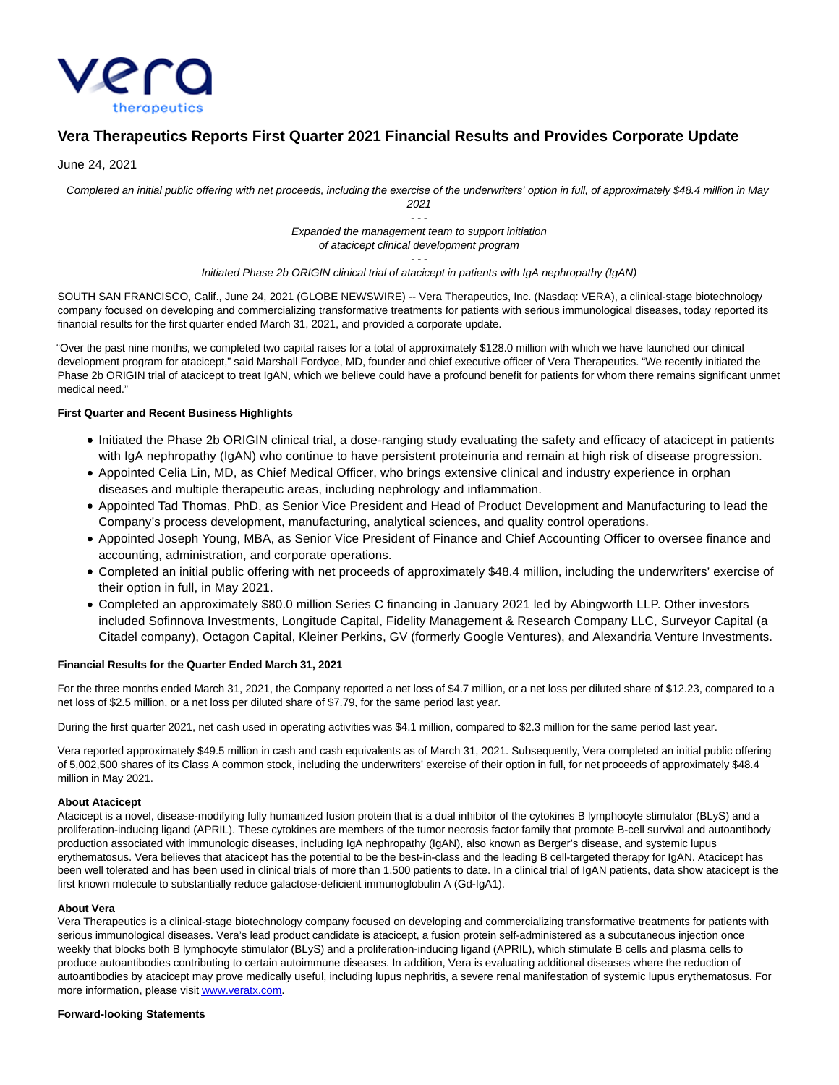

# **Vera Therapeutics Reports First Quarter 2021 Financial Results and Provides Corporate Update**

June 24, 2021

Completed an initial public offering with net proceeds, including the exercise of the underwriters' option in full, of approximately \$48.4 million in May 2021

> - - - Expanded the management team to support initiation of atacicept clinical development program

#### - - - Initiated Phase 2b ORIGIN clinical trial of atacicept in patients with IgA nephropathy (IgAN)

SOUTH SAN FRANCISCO, Calif., June 24, 2021 (GLOBE NEWSWIRE) -- Vera Therapeutics, Inc. (Nasdaq: VERA), a clinical-stage biotechnology company focused on developing and commercializing transformative treatments for patients with serious immunological diseases, today reported its financial results for the first quarter ended March 31, 2021, and provided a corporate update.

"Over the past nine months, we completed two capital raises for a total of approximately \$128.0 million with which we have launched our clinical development program for atacicept," said Marshall Fordyce, MD, founder and chief executive officer of Vera Therapeutics. "We recently initiated the Phase 2b ORIGIN trial of atacicept to treat IgAN, which we believe could have a profound benefit for patients for whom there remains significant unmet medical need."

### **First Quarter and Recent Business Highlights**

- Initiated the Phase 2b ORIGIN clinical trial, a dose-ranging study evaluating the safety and efficacy of atacicept in patients with IgA nephropathy (IgAN) who continue to have persistent proteinuria and remain at high risk of disease progression.
- Appointed Celia Lin, MD, as Chief Medical Officer, who brings extensive clinical and industry experience in orphan diseases and multiple therapeutic areas, including nephrology and inflammation.
- Appointed Tad Thomas, PhD, as Senior Vice President and Head of Product Development and Manufacturing to lead the Company's process development, manufacturing, analytical sciences, and quality control operations.
- Appointed Joseph Young, MBA, as Senior Vice President of Finance and Chief Accounting Officer to oversee finance and accounting, administration, and corporate operations.
- Completed an initial public offering with net proceeds of approximately \$48.4 million, including the underwriters' exercise of their option in full, in May 2021.
- Completed an approximately \$80.0 million Series C financing in January 2021 led by Abingworth LLP. Other investors included Sofinnova Investments, Longitude Capital, Fidelity Management & Research Company LLC, Surveyor Capital (a Citadel company), Octagon Capital, Kleiner Perkins, GV (formerly Google Ventures), and Alexandria Venture Investments.

### **Financial Results for the Quarter Ended March 31, 2021**

For the three months ended March 31, 2021, the Company reported a net loss of \$4.7 million, or a net loss per diluted share of \$12.23, compared to a net loss of \$2.5 million, or a net loss per diluted share of \$7.79, for the same period last year.

During the first quarter 2021, net cash used in operating activities was \$4.1 million, compared to \$2.3 million for the same period last year.

Vera reported approximately \$49.5 million in cash and cash equivalents as of March 31, 2021. Subsequently, Vera completed an initial public offering of 5,002,500 shares of its Class A common stock, including the underwriters' exercise of their option in full, for net proceeds of approximately \$48.4 million in May 2021.

### **About Atacicept**

Atacicept is a novel, disease-modifying fully humanized fusion protein that is a dual inhibitor of the cytokines B lymphocyte stimulator (BLyS) and a proliferation-inducing ligand (APRIL). These cytokines are members of the tumor necrosis factor family that promote B-cell survival and autoantibody production associated with immunologic diseases, including IgA nephropathy (IgAN), also known as Berger's disease, and systemic lupus erythematosus. Vera believes that atacicept has the potential to be the best-in-class and the leading B cell-targeted therapy for IgAN. Atacicept has been well tolerated and has been used in clinical trials of more than 1,500 patients to date. In a clinical trial of IgAN patients, data show atacicept is the first known molecule to substantially reduce galactose-deficient immunoglobulin A (Gd-IgA1).

#### **About Vera**

Vera Therapeutics is a clinical-stage biotechnology company focused on developing and commercializing transformative treatments for patients with serious immunological diseases. Vera's lead product candidate is atacicept, a fusion protein self-administered as a subcutaneous injection once weekly that blocks both B lymphocyte stimulator (BLyS) and a proliferation-inducing ligand (APRIL), which stimulate B cells and plasma cells to produce autoantibodies contributing to certain autoimmune diseases. In addition, Vera is evaluating additional diseases where the reduction of autoantibodies by atacicept may prove medically useful, including lupus nephritis, a severe renal manifestation of systemic lupus erythematosus. For more information, please visi[t www.veratx.com.](https://www.globenewswire.com/Tracker?data=RGqvttvIAKeYQ1JzXwjSzhes6SKVcpNvVEADUJcU0Iv3Dh2U23a0yNtqMlHccOp0luVqecQU3QTR7aWOnvGx_w==)

#### **Forward-looking Statements**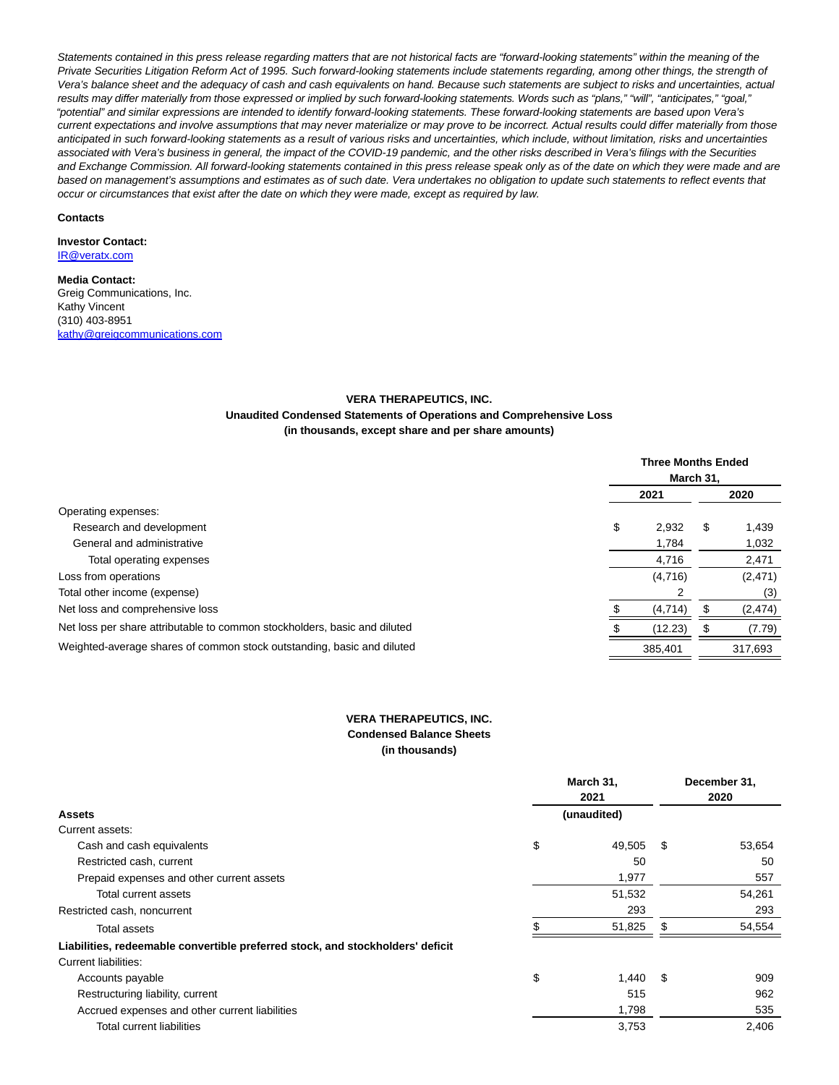Statements contained in this press release regarding matters that are not historical facts are "forward-looking statements" within the meaning of the Private Securities Litigation Reform Act of 1995. Such forward-looking statements include statements regarding, among other things, the strength of Vera's balance sheet and the adequacy of cash and cash equivalents on hand. Because such statements are subject to risks and uncertainties, actual results may differ materially from those expressed or implied by such forward-looking statements. Words such as "plans," "will", "anticipates," "goal," "potential" and similar expressions are intended to identify forward-looking statements. These forward-looking statements are based upon Vera's current expectations and involve assumptions that may never materialize or may prove to be incorrect. Actual results could differ materially from those anticipated in such forward-looking statements as a result of various risks and uncertainties, which include, without limitation, risks and uncertainties associated with Vera's business in general, the impact of the COVID-19 pandemic, and the other risks described in Vera's filings with the Securities and Exchange Commission. All forward-looking statements contained in this press release speak only as of the date on which they were made and are based on management's assumptions and estimates as of such date. Vera undertakes no obligation to update such statements to reflect events that occur or circumstances that exist after the date on which they were made, except as required by law.

#### **Contacts**

# **Investor Contact:**

[IR@veratx.com](https://www.globenewswire.com/Tracker?data=PNaXdQM_dWU43NoFCMgpEcgRZFq48x5qzcBucdWqafyAaGONmvKIvDWRntZ34UWZJDUku_rNksI42xFFNb1a6Q==)

## **Media Contact:**

Greig Communications, Inc. Kathy Vincent (310) 403-8951 [kathy@greigcommunications.com](https://www.globenewswire.com/Tracker?data=4qIoAbfEb-i1JhmbUJNfv8zao2VRXGXHuNaRK-f23GF9bEzakXZLPbzN53xythPdAUWddyfyKIyzvEnC312yuCjKa_G1KmAnxFnwmtOJdzuVucPumQGBHwk3aFoJHPTC)

# **VERA THERAPEUTICS, INC.**

### **Unaudited Condensed Statements of Operations and Comprehensive Loss (in thousands, except share and per share amounts)**

|                                                                           |    | <b>Three Months Ended</b><br>March 31. |     |          |  |
|---------------------------------------------------------------------------|----|----------------------------------------|-----|----------|--|
|                                                                           |    | 2021                                   |     | 2020     |  |
| Operating expenses:                                                       |    |                                        |     |          |  |
| Research and development                                                  | \$ | 2,932                                  | \$. | 1,439    |  |
| General and administrative                                                |    | 1,784                                  |     | 1,032    |  |
| Total operating expenses                                                  |    | 4,716                                  |     | 2,471    |  |
| Loss from operations                                                      |    | (4,716)                                |     | (2,471)  |  |
| Total other income (expense)                                              |    |                                        |     | (3)      |  |
| Net loss and comprehensive loss                                           |    | (4, 714)                               |     | (2, 474) |  |
| Net loss per share attributable to common stockholders, basic and diluted |    | (12.23)                                |     | (7.79)   |  |
| Weighted-average shares of common stock outstanding, basic and diluted    |    | 385.401                                |     | 317,693  |  |

# **VERA THERAPEUTICS, INC. Condensed Balance Sheets (in thousands)**

| <b>Assets</b>                                                                  |    | March 31,<br>2021 |      | December 31,<br>2020 |  |
|--------------------------------------------------------------------------------|----|-------------------|------|----------------------|--|
|                                                                                |    | (unaudited)       |      |                      |  |
| Current assets:                                                                |    |                   |      |                      |  |
| Cash and cash equivalents                                                      | \$ | 49,505            | - \$ | 53,654               |  |
| Restricted cash, current                                                       |    | 50                |      | 50                   |  |
| Prepaid expenses and other current assets                                      |    | 1,977             |      | 557                  |  |
| Total current assets                                                           |    | 51,532            |      | 54,261               |  |
| Restricted cash, noncurrent                                                    |    | 293               |      | 293                  |  |
| <b>Total assets</b>                                                            |    | 51,825            |      | 54,554               |  |
| Liabilities, redeemable convertible preferred stock, and stockholders' deficit |    |                   |      |                      |  |
| Current liabilities:                                                           |    |                   |      |                      |  |
| Accounts payable                                                               | \$ | $1,440$ \$        |      | 909                  |  |
| Restructuring liability, current                                               |    | 515               |      | 962                  |  |
| Accrued expenses and other current liabilities                                 |    | 1,798             |      | 535                  |  |
| <b>Total current liabilities</b>                                               |    | 3,753             |      | 2,406                |  |